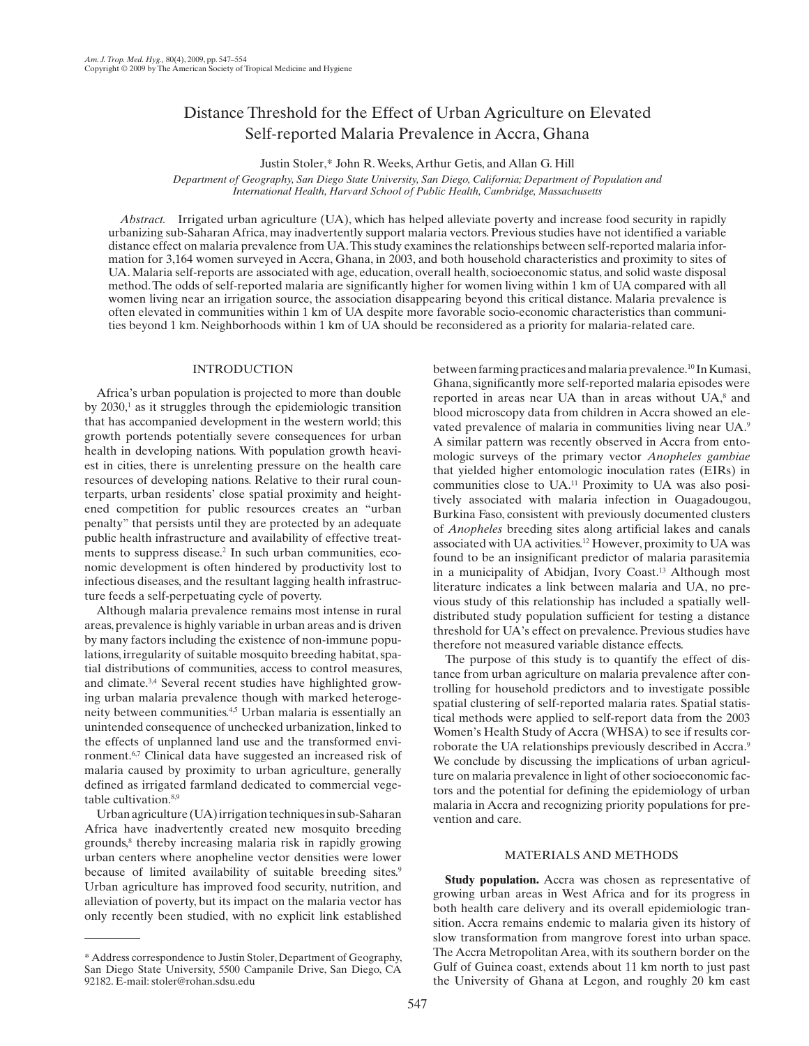# Distance Threshold for the Effect of Urban Agriculture on Elevated Self-reported Malaria Prevalence in Accra, Ghana

Justin Stoler ,\* John R. Weeks , Arthur Getis , and Allan G. Hill

 *Department of Geography, San Diego State University, San Diego, California; Department of Population and International Health, Harvard School of Public Health, Cambridge, Massachusetts* 

*Abstract.* Irrigated urban agriculture (UA), which has helped alleviate poverty and increase food security in rapidly urbanizing sub-Saharan Africa, may inadvertently support malaria vectors. Previous studies have not identified a variable distance effect on malaria prevalence from UA. This study examines the relationships between self-reported malaria information for 3,164 women surveyed in Accra, Ghana, in 2003, and both household characteristics and proximity to sites of UA. Malaria self-reports are associated with age, education, overall health, socioeconomic status, and solid waste disposal method. The odds of self-reported malaria are significantly higher for women living within 1 km of UA compared with all women living near an irrigation source, the association disappearing beyond this critical distance. Malaria prevalence is often elevated in communities within 1 km of UA despite more favorable socio-economic characteristics than communities beyond 1 km. Neighborhoods within 1 km of UA should be reconsidered as a priority for malaria-related care.

## INTRODUCTION

Africa's urban population is projected to more than double by  $2030<sup>1</sup>$  as it struggles through the epidemiologic transition that has accompanied development in the western world; this growth portends potentially severe consequences for urban health in developing nations. With population growth heaviest in cities, there is unrelenting pressure on the health care resources of developing nations. Relative to their rural counterparts, urban residents' close spatial proximity and heightened competition for public resources creates an "urban penalty" that persists until they are protected by an adequate public health infrastructure and availability of effective treatments to suppress disease.<sup>2</sup> In such urban communities, economic development is often hindered by productivity lost to infectious diseases, and the resultant lagging health infrastructure feeds a self-perpetuating cycle of poverty.

 Although malaria prevalence remains most intense in rural areas, prevalence is highly variable in urban areas and is driven by many factors including the existence of non-immune populations, irregularity of suitable mosquito breeding habitat, spatial distributions of communities, access to control measures, and climate.<sup>3,4</sup> Several recent studies have highlighted growing urban malaria prevalence though with marked heterogeneity between communities.<sup>4,5</sup> Urban malaria is essentially an unintended consequence of unchecked urbanization, linked to the effects of unplanned land use and the transformed environment.<sup>6,7</sup> Clinical data have suggested an increased risk of malaria caused by proximity to urban agriculture, generally defined as irrigated farmland dedicated to commercial vegetable cultivation.<sup>8,9</sup>

Urban agriculture (UA) irrigation techniques in sub-Saharan Africa have inadvertently created new mosquito breeding grounds,<sup>8</sup> thereby increasing malaria risk in rapidly growing urban centers where anopheline vector densities were lower because of limited availability of suitable breeding sites.<sup>9</sup> Urban agriculture has improved food security, nutrition, and alleviation of poverty, but its impact on the malaria vector has only recently been studied, with no explicit link established

\* Address correspondence to Justin Stoler, Department of Geography, San Diego State University, 5500 Campanile Drive, San Diego, CA 92182. E-mail: stoler@rohan.sdsu.edu

between farming practices and malaria prevalence.<sup>10</sup> In Kumasi, Ghana, significantly more self-reported malaria episodes were reported in areas near UA than in areas without UA,<sup>8</sup> and blood microscopy data from children in Accra showed an elevated prevalence of malaria in communities living near UA.<sup>9</sup> A similar pattern was recently observed in Accra from entomologic surveys of the primary vector *Anopheles gambiae* that yielded higher entomologic inoculation rates (EIRs) in communities close to UA. 11 Proximity to UA was also positively associated with malaria infection in Ouagadougou, Burkina Faso, consistent with previously documented clusters of *Anopheles* breeding sites along artificial lakes and canals associated with UA activities. 12 However, proximity to UA was found to be an insignificant predictor of malaria parasitemia in a municipality of Abidjan, Ivory Coast.<sup>13</sup> Although most literature indicates a link between malaria and UA, no previous study of this relationship has included a spatially welldistributed study population sufficient for testing a distance threshold for UA's effect on prevalence. Previous studies have therefore not measured variable distance effects.

 The purpose of this study is to quantify the effect of distance from urban agriculture on malaria prevalence after controlling for household predictors and to investigate possible spatial clustering of self-reported malaria rates. Spatial statistical methods were applied to self-report data from the 2003 Women's Health Study of Accra (WHSA) to see if results corroborate the UA relationships previously described in Accra.<sup>9</sup> We conclude by discussing the implications of urban agriculture on malaria prevalence in light of other socioeconomic factors and the potential for defining the epidemiology of urban malaria in Accra and recognizing priority populations for prevention and care.

## MATERIALS AND METHODS

**Study population.** Accra was chosen as representative of growing urban areas in West Africa and for its progress in both health care delivery and its overall epidemiologic transition. Accra remains endemic to malaria given its history of slow transformation from mangrove forest into urban space. The Accra Metropolitan Area, with its southern border on the Gulf of Guinea coast, extends about 11 km north to just past the University of Ghana at Legon, and roughly 20 km east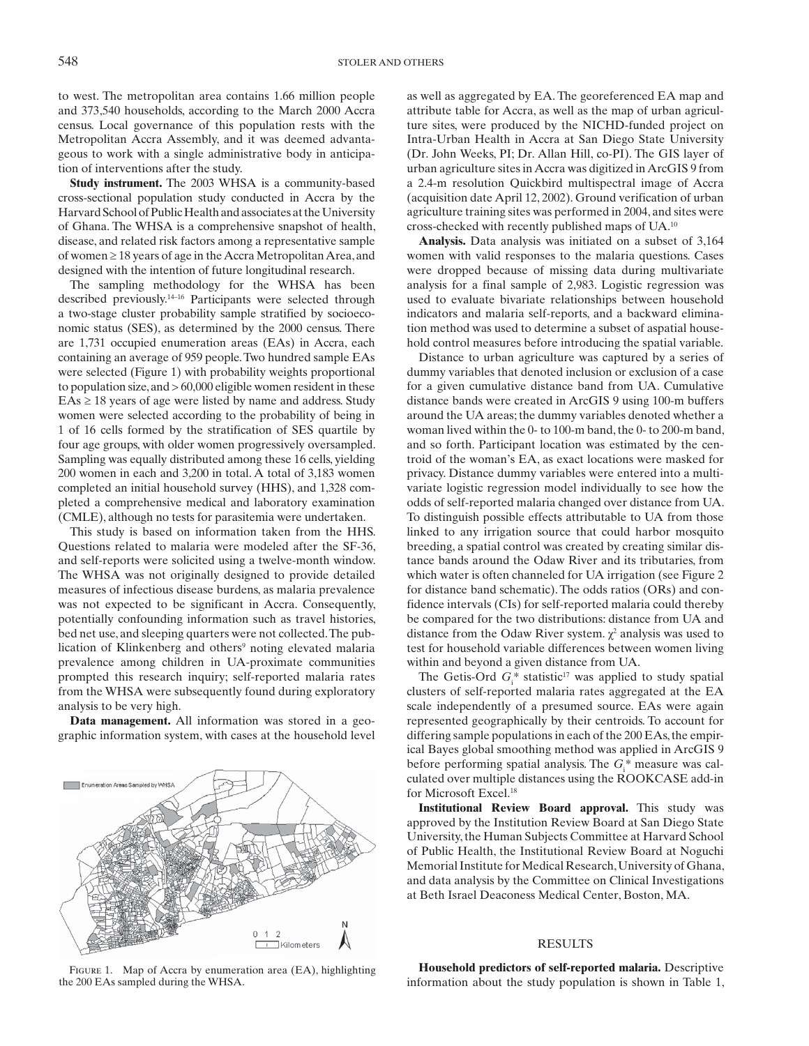to west. The metropolitan area contains 1.66 million people and 373,540 households, according to the March 2000 Accra census. Local governance of this population rests with the Metropolitan Accra Assembly, and it was deemed advantageous to work with a single administrative body in anticipation of interventions after the study.

**Study instrument.** The 2003 WHSA is a community-based cross-sectional population study conducted in Accra by the Harvard School of Public Health and associates at the University of Ghana. The WHSA is a comprehensive snapshot of health, disease, and related risk factors among a representative sample of women  $\geq 18$  years of age in the Accra Metropolitan Area, and designed with the intention of future longitudinal research.

The sampling methodology for the WHSA has been described previously.<sup>14–16</sup> Participants were selected through a two-stage cluster probability sample stratified by socioeconomic status (SES), as determined by the 2000 census. There are 1,731 occupied enumeration areas (EAs) in Accra, each containing an average of 959 people. Two hundred sample EAs were selected (Figure 1) with probability weights proportional to population size, and > 60,000 eligible women resident in these  $EAs \geq 18$  years of age were listed by name and address. Study women were selected according to the probability of being in 1 of 16 cells formed by the stratification of SES quartile by four age groups, with older women progressively oversampled. Sampling was equally distributed among these 16 cells, yielding 200 women in each and 3,200 in total. A total of 3,183 women completed an initial household survey (HHS), and 1,328 completed a comprehensive medical and laboratory examination (CMLE), although no tests for parasitemia were undertaken.

This study is based on information taken from the HHS. Questions related to malaria were modeled after the SF-36, and self-reports were solicited using a twelve-month window. The WHSA was not originally designed to provide detailed measures of infectious disease burdens, as malaria prevalence was not expected to be significant in Accra. Consequently, potentially confounding information such as travel histories, bed net use, and sleeping quarters were not collected. The publication of Klinkenberg and others<sup>9</sup> noting elevated malaria prevalence among children in UA-proximate communities prompted this research inquiry; self-reported malaria rates from the WHSA were subsequently found during exploratory analysis to be very high.

 **Data management.** All information was stored in a geographic information system, with cases at the household level



FIGURE 1. Map of Accra by enumeration area (EA), highlighting the 200 EAs sampled during the WHSA.

as well as aggregated by EA. The georeferenced EA map and attribute table for Accra, as well as the map of urban agriculture sites, were produced by the NICHD-funded project on Intra-Urban Health in Accra at San Diego State University (Dr. John Weeks, PI; Dr. Allan Hill, co-PI). The GIS layer of urban agriculture sites in Accra was digitized in ArcGIS 9 from a 2.4-m resolution Quickbird multispectral image of Accra (acquisition date April 12, 2002). Ground verification of urban agriculture training sites was performed in 2004, and sites were cross-checked with recently published maps of UA. 10

 **Analysis.** Data analysis was initiated on a subset of 3,164 women with valid responses to the malaria questions. Cases were dropped because of missing data during multivariate analysis for a final sample of 2,983. Logistic regression was used to evaluate bivariate relationships between household indicators and malaria self-reports, and a backward elimination method was used to determine a subset of aspatial household control measures before introducing the spatial variable.

Distance to urban agriculture was captured by a series of dummy variables that denoted inclusion or exclusion of a case for a given cumulative distance band from UA. Cumulative distance bands were created in ArcGIS 9 using 100-m buffers around the UA areas; the dummy variables denoted whether a woman lived within the 0- to 100-m band, the 0- to 200-m band, and so forth. Participant location was estimated by the centroid of the woman's EA, as exact locations were masked for privacy. Distance dummy variables were entered into a multivariate logistic regression model individually to see how the odds of self-reported malaria changed over distance from UA. To distinguish possible effects attributable to UA from those linked to any irrigation source that could harbor mosquito breeding, a spatial control was created by creating similar distance bands around the Odaw River and its tributaries, from which water is often channeled for UA irrigation (see Figure 2 for distance band schematic). The odds ratios (ORs) and confidence intervals (CIs) for self-reported malaria could thereby be compared for the two distributions: distance from UA and distance from the Odaw River system.  $\chi^2$  analysis was used to test for household variable differences between women living within and beyond a given distance from UA.

The Getis-Ord  $G_i^*$  statistic<sup>17</sup> was applied to study spatial clusters of self-reported malaria rates aggregated at the EA scale independently of a presumed source. EAs were again represented geographically by their centroids. To account for differing sample populations in each of the 200 EAs, the empirical Bayes global smoothing method was applied in ArcGIS 9 before performing spatial analysis. The  $G_i^*$  measure was calculated over multiple distances using the ROOKCASE add-in for Microsoft Excel.<sup>18</sup>

 **Institutional Review Board approval.** This study was approved by the Institution Review Board at San Diego State University, the Human Subjects Committee at Harvard School of Public Health, the Institutional Review Board at Noguchi Memorial Institute for Medical Research, University of Ghana, and data analysis by the Committee on Clinical Investigations at Beth Israel Deaconess Medical Center, Boston, MA.

### RESULTS

 **Household predictors of self-reported malaria.** Descriptive information about the study population is shown in Table 1,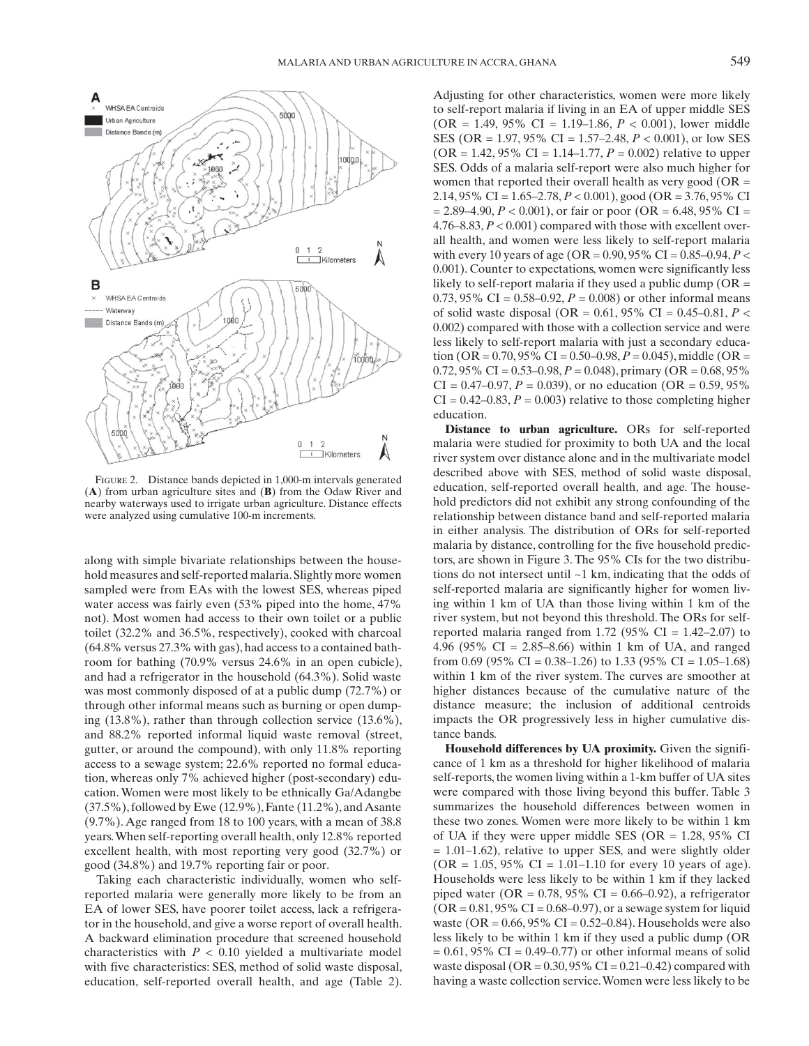

FIGURE 2. Distance bands depicted in 1,000-m intervals generated (**A**) from urban agriculture sites and (**B**) from the Odaw River and nearby waterways used to irrigate urban agriculture. Distance effects were analyzed using cumulative 100-m increments.

along with simple bivariate relationships between the household measures and self-reported malaria. Slightly more women sampled were from EAs with the lowest SES, whereas piped water access was fairly even (53% piped into the home, 47% not). Most women had access to their own toilet or a public toilet (32.2% and 36.5%, respectively), cooked with charcoal (64.8% versus 27.3% with gas), had access to a contained bathroom for bathing (70.9% versus 24.6% in an open cubicle), and had a refrigerator in the household (64.3%). Solid waste was most commonly disposed of at a public dump (72.7%) or through other informal means such as burning or open dumping (13.8%), rather than through collection service (13.6%), and 88.2% reported informal liquid waste removal (street, gutter, or around the compound), with only 11.8% reporting access to a sewage system; 22.6% reported no formal education, whereas only 7% achieved higher (post-secondary) education. Women were most likely to be ethnically Ga/Adangbe (37.5%), followed by Ewe (12.9%), Fante (11.2%), and Asante (9.7%). Age ranged from 18 to 100 years, with a mean of 38.8 years. When self-reporting overall health, only 12.8% reported excellent health, with most reporting very good (32.7%) or good (34.8%) and 19.7% reporting fair or poor.

 Taking each characteristic individually, women who selfreported malaria were generally more likely to be from an EA of lower SES, have poorer toilet access, lack a refrigerator in the household, and give a worse report of overall health. A backward elimination procedure that screened household characteristics with  $P < 0.10$  yielded a multivariate model with five characteristics: SES, method of solid waste disposal, education, self-reported overall health, and age (Table 2). Adjusting for other characteristics, women were more likely to self-report malaria if living in an EA of upper middle SES (OR = 1.49, 95% CI = 1.19–1.86, *P* < 0.001), lower middle SES (OR = 1.97, 95% CI = 1.57–2.48, *P* < 0.001), or low SES  $(OR = 1.42, 95\% \text{ CI} = 1.14 - 1.77, P = 0.002)$  relative to upper SES. Odds of a malaria self-report were also much higher for women that reported their overall health as very good ( $OR =$ 2.14, 95% CI = 1.65–2.78, *P* < 0.001), good (OR = 3.76, 95% CI  $= 2.89 - 4.90, P < 0.001$ , or fair or poor (OR = 6.48, 95% CI = 4.76–8.83, *P* < 0.001) compared with those with excellent overall health, and women were less likely to self-report malaria with every 10 years of age (OR =  $0.90, 95\%$  CI =  $0.85-0.94, P <$ 0.001). Counter to expectations, women were significantly less likely to self-report malaria if they used a public dump ( $OR =$ 0.73, 95% CI =  $0.58 - 0.92$ ,  $P = 0.008$ ) or other informal means of solid waste disposal (OR =  $0.61$ , 95% CI =  $0.45-0.81$ , *P* < 0.002) compared with those with a collection service and were less likely to self-report malaria with just a secondary education (OR =  $0.70$ , 95% CI =  $0.50$ -0.98,  $P = 0.045$ ), middle (OR = 0.72, 95% CI = 0.53–0.98, *P* = 0.048), primary (OR = 0.68, 95%  $CI = 0.47{\text -}0.97, P = 0.039$ , or no education (OR = 0.59, 95%)  $CI = 0.42{\text -}0.83, P = 0.003$  relative to those completing higher education.

 **Distance to urban agriculture.** ORs for self-reported malaria were studied for proximity to both UA and the local river system over distance alone and in the multivariate model described above with SES, method of solid waste disposal, education, self-reported overall health, and age. The household predictors did not exhibit any strong confounding of the relationship between distance band and self-reported malaria in either analysis. The distribution of ORs for self-reported malaria by distance, controlling for the five household predictors, are shown in Figure 3. The 95% CIs for the two distributions do not intersect until ~1 km, indicating that the odds of self-reported malaria are significantly higher for women living within 1 km of UA than those living within 1 km of the river system, but not beyond this threshold. The ORs for selfreported malaria ranged from 1.72 (95% CI =  $1.42-2.07$ ) to 4.96 (95% CI = 2.85–8.66) within 1 km of UA, and ranged from 0.69 (95% CI = 0.38–1.26) to 1.33 (95% CI = 1.05–1.68) within 1 km of the river system. The curves are smoother at higher distances because of the cumulative nature of the distance measure; the inclusion of additional centroids impacts the OR progressively less in higher cumulative distance bands.

 **Household differences by UA proximity.** Given the significance of 1 km as a threshold for higher likelihood of malaria self-reports, the women living within a 1-km buffer of UA sites were compared with those living beyond this buffer. Table 3 summarizes the household differences between women in these two zones. Women were more likely to be within 1 km of UA if they were upper middle SES (OR  $= 1.28, 95\%$  CI  $= 1.01 - 1.62$ , relative to upper SES, and were slightly older  $(OR = 1.05, 95\% \text{ CI} = 1.01 - 1.10 \text{ for every } 10 \text{ years of age}).$ Households were less likely to be within 1 km if they lacked piped water (OR =  $0.78$ , 95% CI =  $0.66-0.92$ ), a refrigerator  $(OR = 0.81, 95\% \text{ CI} = 0.68 - 0.97)$ , or a sewage system for liquid waste (OR =  $0.66, 95\%$  CI =  $0.52-0.84$ ). Households were also less likely to be within 1 km if they used a public dump (OR  $= 0.61, 95\% \text{ CI} = 0.49 - 0.77)$  or other informal means of solid waste disposal (OR =  $0.30,95\%$  CI =  $0.21-0.42$ ) compared with having a waste collection service. Women were less likely to be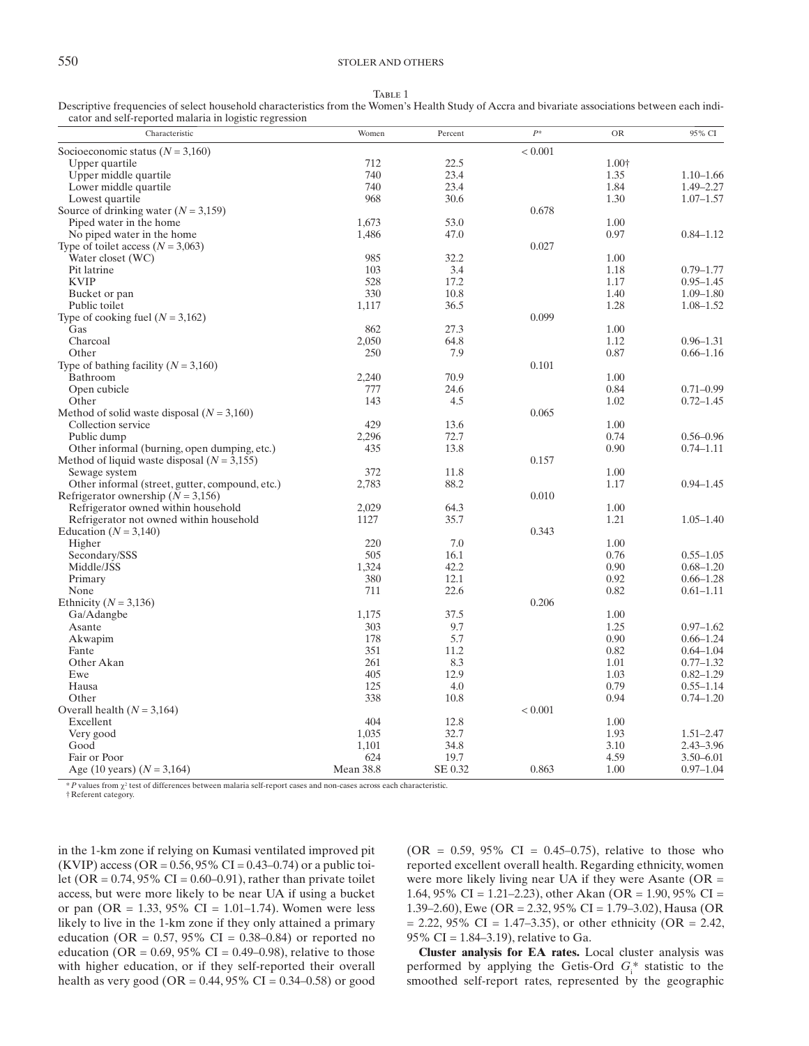TABLE 1

 Descriptive frequencies of select household characteristics from the Women's Health Study of Accra and bivariate associations between each indicator and self-reported malaria in logistic regression

| Characteristic                                  | Women            | Percent | $P^*$   | <b>OR</b> | 95% CI        |
|-------------------------------------------------|------------------|---------|---------|-----------|---------------|
| Socioeconomic status ( $N = 3,160$ )            |                  |         | < 0.001 |           |               |
| Upper quartile                                  | 712              | 22.5    |         | 1.00+     |               |
| Upper middle quartile                           | 740              | 23.4    |         | 1.35      | $1.10 - 1.66$ |
| Lower middle quartile                           | 740              | 23.4    |         | 1.84      | $1.49 - 2.27$ |
| Lowest quartile                                 | 968              | 30.6    |         | 1.30      | $1.07 - 1.57$ |
| Source of drinking water $(N = 3,159)$          |                  |         | 0.678   |           |               |
| Piped water in the home                         | 1.673            | 53.0    |         | 1.00      |               |
| No piped water in the home                      | 1,486            | 47.0    |         | 0.97      | $0.84 - 1.12$ |
| Type of toilet access ( $N = 3,063$ )           |                  |         | 0.027   |           |               |
| Water closet (WC)                               | 985              | 32.2    |         | 1.00      |               |
| Pit latrine                                     | 103              | 3.4     |         | 1.18      | $0.79 - 1.77$ |
| <b>KVIP</b>                                     | 528              | 17.2    |         | 1.17      | $0.95 - 1.45$ |
| Bucket or pan                                   | 330              | 10.8    |         | 1.40      | $1.09 - 1.80$ |
| Public toilet                                   | 1,117            | 36.5    |         | 1.28      | $1.08 - 1.52$ |
|                                                 |                  |         | 0.099   |           |               |
| Type of cooking fuel $(N = 3,162)$              |                  |         |         |           |               |
| Gas                                             | 862              | 27.3    |         | 1.00      |               |
| Charcoal                                        | 2,050            | 64.8    |         | 1.12      | $0.96 - 1.31$ |
| Other                                           | 250              | 7.9     |         | 0.87      | $0.66 - 1.16$ |
| Type of bathing facility ( $N = 3,160$ )        |                  |         | 0.101   |           |               |
| Bathroom                                        | 2,240            | 70.9    |         | 1.00      |               |
| Open cubicle                                    | 777              | 24.6    |         | 0.84      | $0.71 - 0.99$ |
| Other                                           | 143              | 4.5     |         | 1.02      | $0.72 - 1.45$ |
| Method of solid waste disposal $(N = 3,160)$    |                  |         | 0.065   |           |               |
| Collection service                              | 429              | 13.6    |         | 1.00      |               |
| Public dump                                     | 2,296            | 72.7    |         | 0.74      | $0.56 - 0.96$ |
| Other informal (burning, open dumping, etc.)    | 435              | 13.8    |         | 0.90      | $0.74 - 1.11$ |
| Method of liquid waste disposal $(N = 3,155)$   |                  |         | 0.157   |           |               |
| Sewage system                                   | 372              | 11.8    |         | 1.00      |               |
| Other informal (street, gutter, compound, etc.) | 2,783            | 88.2    |         | 1.17      | $0.94 - 1.45$ |
| Refrigerator ownership ( $N = 3,156$ )          |                  |         | 0.010   |           |               |
| Refrigerator owned within household             | 2,029            | 64.3    |         | 1.00      |               |
| Refrigerator not owned within household         | 1127             | 35.7    |         | 1.21      | $1.05 - 1.40$ |
| Education ( $N = 3,140$ )                       |                  |         | 0.343   |           |               |
| Higher                                          | 220              | 7.0     |         | 1.00      |               |
| Secondary/SSS                                   | 505              | 16.1    |         | 0.76      | $0.55 - 1.05$ |
| Middle/JSS                                      | 1.324            | 42.2    |         | 0.90      | $0.68 - 1.20$ |
| Primary                                         | 380              | 12.1    |         | 0.92      | $0.66 - 1.28$ |
| None                                            | 711              | 22.6    |         | 0.82      | $0.61 - 1.11$ |
| Ethnicity ( $N = 3,136$ )                       |                  |         | 0.206   |           |               |
| Ga/Adangbe                                      | 1,175            | 37.5    |         | 1.00      |               |
| Asante                                          | 303              | 9.7     |         | 1.25      | $0.97 - 1.62$ |
| Akwapim                                         | 178              | 5.7     |         | 0.90      | $0.66 - 1.24$ |
| Fante                                           | 351              | 11.2    |         | 0.82      | $0.64 - 1.04$ |
| Other Akan                                      | 261              | 8.3     |         | 1.01      | $0.77 - 1.32$ |
| Ewe                                             | 405              | 12.9    |         | 1.03      | $0.82 - 1.29$ |
|                                                 | 125              | 4.0     |         | 0.79      |               |
| Hausa                                           |                  |         |         |           | $0.55 - 1.14$ |
| Other                                           | 338              | 10.8    |         | 0.94      | $0.74 - 1.20$ |
| Overall health $(N = 3,164)$                    |                  |         | < 0.001 |           |               |
| Excellent                                       | 404              | 12.8    |         | 1.00      |               |
| Very good                                       | 1,035            | 32.7    |         | 1.93      | $1.51 - 2.47$ |
| Good                                            | 1,101            | 34.8    |         | 3.10      | $2.43 - 3.96$ |
| Fair or Poor                                    | 624              | 19.7    |         | 4.59      | $3.50 - 6.01$ |
| Age (10 years) $(N = 3,164)$                    | <b>Mean 38.8</b> | SE 0.32 | 0.863   | 1.00      | $0.97 - 1.04$ |

 $*P$  values from  $\chi^2$  test of differences between malaria self-report cases and non-cases across each characteristic.

† Referent category.

in the 1-km zone if relying on Kumasi ventilated improved pit (KVIP) access (OR =  $0.56, 95\%$  CI =  $0.43-0.74$ ) or a public toilet (OR =  $0.74$ , 95% CI =  $0.60$ – $0.91$ ), rather than private toilet access, but were more likely to be near UA if using a bucket or pan (OR = 1.33, 95% CI = 1.01–1.74). Women were less likely to live in the 1-km zone if they only attained a primary education (OR =  $0.57, 95\%$  CI =  $0.38-0.84$ ) or reported no education (OR =  $0.69, 95\%$  CI =  $0.49-0.98$ ), relative to those with higher education, or if they self-reported their overall health as very good (OR =  $0.44$ , 95% CI =  $0.34 - 0.58$ ) or good

 $(OR = 0.59, 95\% \text{ CI} = 0.45{\text -}0.75)$ , relative to those who reported excellent overall health. Regarding ethnicity, women were more likely living near UA if they were Asante  $(OR =$ 1.64, 95% CI = 1.21–2.23), other Akan (OR = 1.90, 95% CI = 1.39–2.60), Ewe (OR = 2.32, 95% CI = 1.79–3.02), Hausa (OR  $= 2.22, 95\% \text{ CI} = 1.47 - 3.35$ , or other ethnicity (OR  $= 2.42$ , 95% CI = 1.84–3.19), relative to Ga.

**Cluster analysis for EA rates .** Local cluster analysis was performed by applying the Getis-Ord  $G_i^*$  statistic to the smoothed self-report rates, represented by the geographic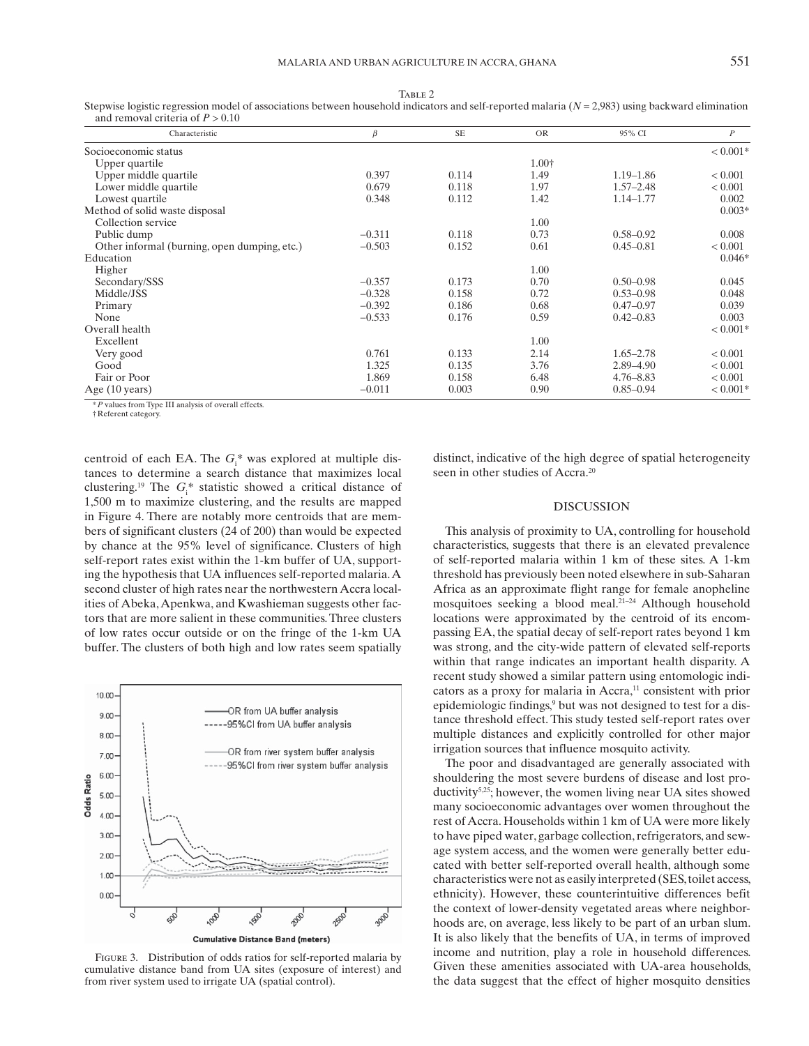| TABLE 2                                                                                                                                              |
|------------------------------------------------------------------------------------------------------------------------------------------------------|
| Stepwise logistic regression model of associations between household indicators and self-reported malaria ( $N = 2.983$ ) using backward elimination |
| and removal criteria of $P > 0.10$                                                                                                                   |

| Characteristic                               | $\beta$  | SE    | <b>OR</b> | 95% CI        | $\boldsymbol{P}$ |
|----------------------------------------------|----------|-------|-----------|---------------|------------------|
| Socioeconomic status                         |          |       |           |               | $< 0.001*$       |
| Upper quartile                               |          |       | 1.00†     |               |                  |
| Upper middle quartile                        | 0.397    | 0.114 | 1.49      | $1.19 - 1.86$ | < 0.001          |
| Lower middle quartile                        | 0.679    | 0.118 | 1.97      | $1.57 - 2.48$ | < 0.001          |
| Lowest quartile                              | 0.348    | 0.112 | 1.42      | 1.14-1.77     | 0.002            |
| Method of solid waste disposal               |          |       |           |               | $0.003*$         |
| Collection service                           |          |       | 1.00      |               |                  |
| Public dump                                  | $-0.311$ | 0.118 | 0.73      | $0.58 - 0.92$ | 0.008            |
| Other informal (burning, open dumping, etc.) | $-0.503$ | 0.152 | 0.61      | $0.45 - 0.81$ | < 0.001          |
| Education                                    |          |       |           |               | $0.046*$         |
| Higher                                       |          |       | 1.00      |               |                  |
| Secondary/SSS                                | $-0.357$ | 0.173 | 0.70      | $0.50 - 0.98$ | 0.045            |
| Middle/JSS                                   | $-0.328$ | 0.158 | 0.72      | $0.53 - 0.98$ | 0.048            |
| Primary                                      | $-0.392$ | 0.186 | 0.68      | $0.47 - 0.97$ | 0.039            |
| None                                         | $-0.533$ | 0.176 | 0.59      | $0.42 - 0.83$ | 0.003            |
| Overall health                               |          |       |           |               | $< 0.001*$       |
| Excellent                                    |          |       | 1.00      |               |                  |
| Very good                                    | 0.761    | 0.133 | 2.14      | $1.65 - 2.78$ | < 0.001          |
| Good                                         | 1.325    | 0.135 | 3.76      | 2.89-4.90     | < 0.001          |
| Fair or Poor                                 | 1.869    | 0.158 | 6.48      | $4.76 - 8.83$ | < 0.001          |
| Age (10 years)                               | $-0.011$ | 0.003 | 0.90      | $0.85 - 0.94$ | $< 0.001*$       |

values from Type III analysis of overall effects. † Referent category.

centroid of each EA. The  $G_i^*$  was explored at multiple distances to determine a search distance that maximizes local clustering.<sup>19</sup> The  $G_i^*$  statistic showed a critical distance of 1,500 m to maximize clustering, and the results are mapped in Figure 4. There are notably more centroids that are members of significant clusters (24 of 200) than would be expected by chance at the 95% level of significance. Clusters of high self-report rates exist within the 1-km buffer of UA, supporting the hypothesis that UA influences self-reported malaria. A second cluster of high rates near the northwestern Accra localities of Abeka, Apenkwa, and Kwashieman suggests other factors that are more salient in these communities. Three clusters of low rates occur outside or on the fringe of the 1-km UA buffer. The clusters of both high and low rates seem spatially



FIGURE 3. Distribution of odds ratios for self-reported malaria by cumulative distance band from UA sites (exposure of interest) and from river system used to irrigate UA (spatial control).

distinct, indicative of the high degree of spatial heterogeneity seen in other studies of Accra.<sup>20</sup>

## DISCUSSION

This analysis of proximity to UA, controlling for household characteristics, suggests that there is an elevated prevalence of self-reported malaria within 1 km of these sites. A 1-km threshold has previously been noted elsewhere in sub-Saharan Africa as an approximate flight range for female anopheline mosquitoes seeking a blood meal.<sup>21-24</sup> Although household locations were approximated by the centroid of its encompassing EA, the spatial decay of self-report rates beyond 1 km was strong, and the city-wide pattern of elevated self-reports within that range indicates an important health disparity. A recent study showed a similar pattern using entomologic indicators as a proxy for malaria in Accra,<sup>11</sup> consistent with prior epidemiologic findings,<sup>9</sup> but was not designed to test for a distance threshold effect. This study tested self-report rates over multiple distances and explicitly controlled for other major irrigation sources that influence mosquito activity.

 The poor and disadvantaged are generally associated with shouldering the most severe burdens of disease and lost productivity<sup>5,25</sup>; however, the women living near UA sites showed many socioeconomic advantages over women throughout the rest of Accra. Households within 1 km of UA were more likely to have piped water, garbage collection, refrigerators, and sewage system access, and the women were generally better educated with better self-reported overall health, although some characteristics were not as easily interpreted (SES, toilet access, ethnicity). However, these counterintuitive differences befit the context of lower-density vegetated areas where neighborhoods are, on average, less likely to be part of an urban slum. It is also likely that the benefits of UA, in terms of improved income and nutrition, play a role in household differences. Given these amenities associated with UA-area households, the data suggest that the effect of higher mosquito densities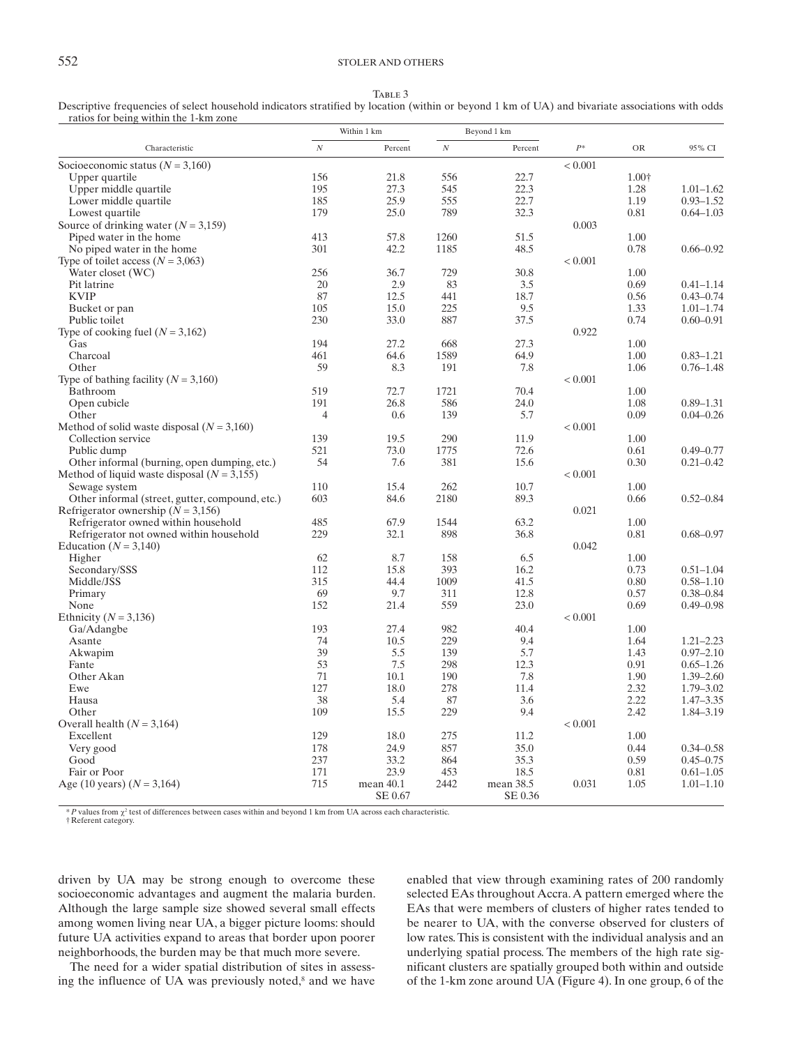## 552 STOLER AND OTHERS

TABLE 3

Descriptive frequencies of select household indicators stratified by location (within or beyond 1 km of UA) and bivariate associations with odds ratios for being within the 1-km zone

|                                                      | Within 1 km    |           |          | Beyond 1 km |                |       |               |
|------------------------------------------------------|----------------|-----------|----------|-------------|----------------|-------|---------------|
| Characteristic                                       | $\cal N$       | Percent   | $\cal N$ | Percent     | $\cal P^*$     | OR    | 95% CI        |
| Socioeconomic status ( $N = 3,160$ )                 |                |           |          |             | < 0.001        |       |               |
| Upper quartile                                       | 156            | 21.8      | 556      | 22.7        |                | 1.00+ |               |
| Upper middle quartile                                | 195            | 27.3      | 545      | 22.3        |                | 1.28  | $1.01 - 1.62$ |
| Lower middle quartile                                | 185            | 25.9      | 555      | 22.7        |                | 1.19  | $0.93 - 1.52$ |
| Lowest quartile                                      | 179            | 25.0      | 789      | 32.3        |                | 0.81  | $0.64 - 1.03$ |
| Source of drinking water $(N = 3,159)$               |                |           |          |             | 0.003          |       |               |
| Piped water in the home                              | 413            | 57.8      | 1260     | 51.5        |                | 1.00  |               |
| No piped water in the home.                          | 301            | 42.2      | 1185     | 48.5        |                | 0.78  | $0.66 - 0.92$ |
| Type of toilet access ( $N = 3,063$ )                |                |           |          |             | < 0.001        |       |               |
| Water closet (WC)                                    | 256            | 36.7      | 729      | 30.8        |                | 1.00  |               |
| Pit latrine                                          | 20             | 2.9       | 83       | 3.5         |                | 0.69  | $0.41 - 1.14$ |
| <b>KVIP</b>                                          | 87             | 12.5      | 441      | 18.7        |                | 0.56  | $0.43 - 0.74$ |
| Bucket or pan                                        | 105            | 15.0      | 225      | 9.5         |                | 1.33  | $1.01 - 1.74$ |
| Public toilet                                        | 230            | 33.0      | 887      | 37.5        |                | 0.74  | $0.60 - 0.91$ |
| Type of cooking fuel $(N = 3,162)$                   |                |           |          |             | 0.922          |       |               |
| Gas                                                  | 194            | 27.2      | 668      | 27.3        |                | 1.00  |               |
| Charcoal                                             | 461            | 64.6      | 1589     | 64.9        |                | 1.00  | $0.83 - 1.21$ |
| Other                                                | 59             | 8.3       | 191      | 7.8         |                | 1.06  | $0.76 - 1.48$ |
|                                                      |                |           |          |             | ${}_{< 0.001}$ |       |               |
| Type of bathing facility ( $N = 3,160$ )<br>Bathroom | 519            | 72.7      | 1721     | 70.4        |                | 1.00  |               |
|                                                      | 191            |           | 586      |             |                | 1.08  | $0.89 - 1.31$ |
| Open cubicle                                         | $\overline{4}$ | 26.8      |          | 24.0        |                |       |               |
| Other                                                |                | 0.6       | 139      | 5.7         |                | 0.09  | $0.04 - 0.26$ |
| Method of solid waste disposal $(N = 3,160)$         |                |           |          |             | < 0.001        |       |               |
| Collection service                                   | 139            | 19.5      | 290      | 11.9        |                | 1.00  |               |
| Public dump                                          | 521            | 73.0      | 1775     | 72.6        |                | 0.61  | $0.49 - 0.77$ |
| Other informal (burning, open dumping, etc.)         | 54             | 7.6       | 381      | 15.6        |                | 0.30  | $0.21 - 0.42$ |
| Method of liquid waste disposal $(N = 3,155)$        |                |           |          |             | < 0.001        |       |               |
| Sewage system                                        | 110            | 15.4      | 262      | 10.7        |                | 1.00  |               |
| Other informal (street, gutter, compound, etc.)      | 603            | 84.6      | 2180     | 89.3        |                | 0.66  | $0.52 - 0.84$ |
| Refrigerator ownership ( $N = 3,156$ )               |                |           |          |             | 0.021          |       |               |
| Refrigerator owned within household                  | 485            | 67.9      | 1544     | 63.2        |                | 1.00  |               |
| Refrigerator not owned within household              | 229            | 32.1      | 898      | 36.8        |                | 0.81  | $0.68 - 0.97$ |
| Education ( $N = 3,140$ )                            |                |           |          |             | 0.042          |       |               |
| Higher                                               | 62             | 8.7       | 158      | 6.5         |                | 1.00  |               |
| Secondary/SSS                                        | 112            | 15.8      | 393      | 16.2        |                | 0.73  | $0.51 - 1.04$ |
| Middle/JSS                                           | 315            | 44.4      | 1009     | 41.5        |                | 0.80  | $0.58 - 1.10$ |
| Primary                                              | 69             | 9.7       | 311      | 12.8        |                | 0.57  | $0.38 - 0.84$ |
| None                                                 | 152            | 21.4      | 559      | 23.0        |                | 0.69  | $0.49 - 0.98$ |
| Ethnicity ( $N = 3,136$ )                            |                |           |          |             | < 0.001        |       |               |
| Ga/Adangbe                                           | 193            | 27.4      | 982      | 40.4        |                | 1.00  |               |
| Asante                                               | 74             | 10.5      | 229      | 9.4         |                | 1.64  | $1.21 - 2.23$ |
| Akwapim                                              | 39             | 5.5       | 139      | 5.7         |                | 1.43  | $0.97 - 2.10$ |
| Fante                                                | 53             | 7.5       | 298      | 12.3        |                | 0.91  | $0.65 - 1.26$ |
| Other Akan                                           | 71             | 10.1      | 190      | 7.8         |                | 1.90  | $1.39 - 2.60$ |
| Ewe                                                  | 127            | 18.0      | 278      | 11.4        |                | 2.32  | $1.79 - 3.02$ |
| Hausa                                                | 38             | 5.4       | 87       | 3.6         |                | 2.22  | $1.47 - 3.35$ |
| Other                                                | 109            | 15.5      | 229      | 9.4         |                | 2.42  | 1.84-3.19     |
| Overall health $(N = 3,164)$                         |                |           |          |             | < 0.001        |       |               |
| Excellent                                            | 129            | 18.0      | 275      | 11.2        |                | 1.00  |               |
| Very good                                            | 178            | 24.9      | 857      | 35.0        |                | 0.44  | $0.34 - 0.58$ |
| Good                                                 | 237            | 33.2      | 864      | 35.3        |                | 0.59  | $0.45 - 0.75$ |
| Fair or Poor                                         | 171            | 23.9      | 453      | 18.5        |                | 0.81  | $0.61 - 1.05$ |
| Age (10 years) $(N = 3,164)$                         | 715            | mean 40.1 | 2442     | mean 38.5   | 0.031          | 1.05  | $1.01 - 1.10$ |
|                                                      |                | SE 0.67   |          | SE 0.36     |                |       |               |

 $*P$  values from  $\chi^2$  test of differences between cases within and beyond 1 km from UA across each characteristic. † Referent category.

driven by UA may be strong enough to overcome these socioeconomic advantages and augment the malaria burden. Although the large sample size showed several small effects among women living near UA, a bigger picture looms: should future UA activities expand to areas that border upon poorer neighborhoods, the burden may be that much more severe.

 The need for a wider spatial distribution of sites in assessing the influence of UA was previously noted,<sup>8</sup> and we have enabled that view through examining rates of 200 randomly selected EAs throughout Accra. A pattern emerged where the EAs that were members of clusters of higher rates tended to be nearer to UA, with the converse observed for clusters of low rates. This is consistent with the individual analysis and an underlying spatial process. The members of the high rate significant clusters are spatially grouped both within and outside of the 1-km zone around UA (Figure 4). In one group, 6 of the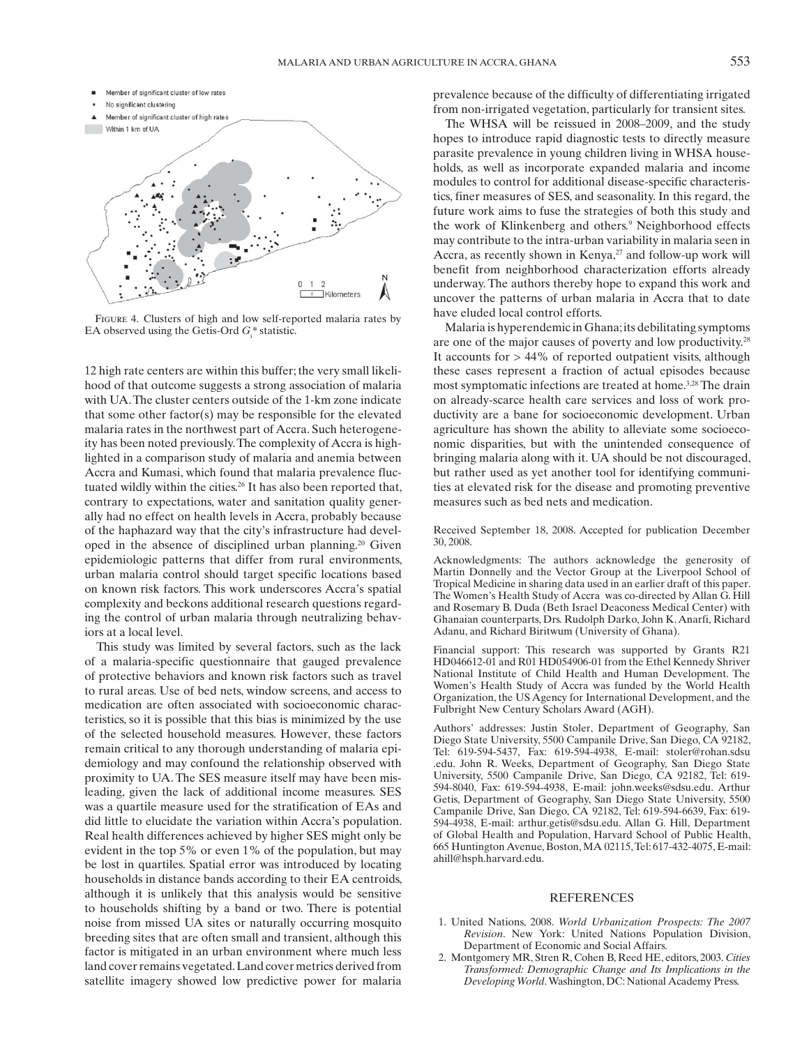

FIGURE 4. Clusters of high and low self-reported malaria rates by EA observed using the Getis-Ord  $G_i^*$  statistic.

12 high rate centers are within this buffer; the very small likelihood of that outcome suggests a strong association of malaria with UA. The cluster centers outside of the 1-km zone indicate that some other factor(s) may be responsible for the elevated malaria rates in the northwest part of Accra. Such heterogeneity has been noted previously. The complexity of Accra is highlighted in a comparison study of malaria and anemia between Accra and Kumasi, which found that malaria prevalence fluctuated wildly within the cities.<sup>26</sup> It has also been reported that, contrary to expectations, water and sanitation quality generally had no effect on health levels in Accra, probably because of the haphazard way that the city's infrastructure had developed in the absence of disciplined urban planning.<sup>20</sup> Given epidemiologic patterns that differ from rural environments, urban malaria control should target specific locations based on known risk factors. This work underscores Accra's spatial complexity and beckons additional research questions regarding the control of urban malaria through neutralizing behaviors at a local level.

This study was limited by several factors, such as the lack of a malaria-specific questionnaire that gauged prevalence of protective behaviors and known risk factors such as travel to rural areas. Use of bed nets, window screens, and access to medication are often associated with socioeconomic characteristics, so it is possible that this bias is minimized by the use of the selected household measures. However, these factors remain critical to any thorough understanding of malaria epidemiology and may confound the relationship observed with proximity to UA. The SES measure itself may have been misleading, given the lack of additional income measures. SES was a quartile measure used for the stratification of EAs and did little to elucidate the variation within Accra's population. Real health differences achieved by higher SES might only be evident in the top 5% or even 1% of the population, but may be lost in quartiles. Spatial error was introduced by locating households in distance bands according to their EA centroids, although it is unlikely that this analysis would be sensitive to households shifting by a band or two. There is potential noise from missed UA sites or naturally occurring mosquito breeding sites that are often small and transient, although this factor is mitigated in an urban environment where much less land cover remains vegetated. Land cover metrics derived from satellite imagery showed low predictive power for malaria

prevalence because of the difficulty of differentiating irrigated from non-irrigated vegetation, particularly for transient sites.

 The WHSA will be reissued in 2008–2009, and the study hopes to introduce rapid diagnostic tests to directly measure parasite prevalence in young children living in WHSA households, as well as incorporate expanded malaria and income modules to control for additional disease-specific characteristics, finer measures of SES, and seasonality. In this regard, the future work aims to fuse the strategies of both this study and the work of Klinkenberg and others.<sup>9</sup> Neighborhood effects may contribute to the intra-urban variability in malaria seen in Accra, as recently shown in Kenya, $27$  and follow-up work will benefit from neighborhood characterization efforts already underway. The authors thereby hope to expand this work and uncover the patterns of urban malaria in Accra that to date have eluded local control efforts.

 Malaria is hyperendemic in Ghana; its debilitating symptoms are one of the major causes of poverty and low productivity.<sup>28</sup> It accounts for > 44% of reported outpatient visits, although these cases represent a fraction of actual episodes because most symptomatic infections are treated at home.<sup>3,28</sup> The drain on already-scarce health care services and loss of work productivity are a bane for socioeconomic development. Urban agriculture has shown the ability to alleviate some socioeconomic disparities, but with the unintended consequence of bringing malaria along with it. UA should be not discouraged, but rather used as yet another tool for identifying communities at elevated risk for the disease and promoting preventive measures such as bed nets and medication.

 Received September 18, 2008. Accepted for publication December 30, 2008.

 Acknowledgments: The authors acknowledge the generosity of Martin Donnelly and the Vector Group at the Liverpool School of Tropical Medicine in sharing data used in an earlier draft of this paper. The Women's Health Study of Accra was co-directed by Allan G. Hill and Rosemary B. Duda (Beth Israel Deaconess Medical Center) with Ghanaian counterparts, Drs. Rudolph Darko, John K. Anarfi, Richard Adanu, and Richard Biritwum (University of Ghana).

 Financial support: This research was supported by Grants R21 HD046612-01 and R01 HD054906-01 from the Ethel Kennedy Shriver National Institute of Child Health and Human Development. The Women's Health Study of Accra was funded by the World Health Organization, the US Agency for International Development, and the Fulbright New Century Scholars Award (AGH).

Authors' addresses: Justin Stoler, Department of Geography, San Diego State University, 5500 Campanile Drive, San Diego, CA 92182, Tel: 619-594-5437, Fax: 619-594-4938, E-mail: stoler@rohan.sdsu .edu. John R. Weeks, Department of Geography, San Diego State University, 5500 Campanile Drive, San Diego, CA 92182, Tel: 619- 594-8040, Fax: 619-594-4938, E-mail: john.weeks@sdsu.edu. Arthur Getis, Department of Geography, San Diego State University, 5500 Campanile Drive, San Diego, CA 92182, Tel: 619-594-6639, Fax: 619- 594-4938, E-mail: arthur.getis@sdsu.edu. Allan G. Hill, Department of Global Health and Population, Harvard School of Public Health, 665 Huntington Avenue, Boston, MA 02115, Tel: 617-432-4075, E-mail: ahill@hsph.harvard.edu.

#### REFERENCES

- 1. United Nations, 2008. *World Urbanization Prospects: The 2007 Revision*. New York: United Nations Population Division, Department of Economic and Social Affairs.
- 2. Montgomery MR, Stren R, Cohen B, Reed HE, editors, 2003. *Cities Transformed: Demographic Change and Its Implications in the Developing World* . Washington, DC: National Academy Press.